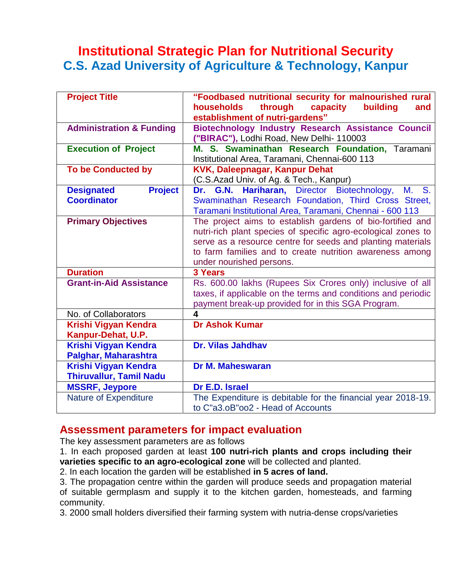## **Institutional Strategic Plan for Nutritional Security C.S. Azad University of Agriculture & Technology, Kanpur**

| <b>Project Title</b>                                          | "Foodbased nutritional security for malnourished rural<br>through<br>capacity<br>households<br>building<br>and<br>establishment of nutri-gardens"                                                                                                                                  |  |  |
|---------------------------------------------------------------|------------------------------------------------------------------------------------------------------------------------------------------------------------------------------------------------------------------------------------------------------------------------------------|--|--|
| <b>Administration &amp; Funding</b>                           | <b>Biotechnology Industry Research Assistance Council</b><br>("BIRAC"), Lodhi Road, New Delhi- 110003                                                                                                                                                                              |  |  |
| <b>Execution of Project</b>                                   | M. S. Swaminathan Research Foundation, Taramani<br>Institutional Area, Taramani, Chennai-600 113                                                                                                                                                                                   |  |  |
| <b>To be Conducted by</b>                                     | <b>KVK, Daleepnagar, Kanpur Dehat</b><br>(C.S.Azad Univ. of Ag. & Tech., Kanpur)                                                                                                                                                                                                   |  |  |
| <b>Project</b><br><b>Designated</b><br><b>Coordinator</b>     | Dr. G.N. Hariharan, Director Biotechnology,<br>M. S.<br>Swaminathan Research Foundation, Third Cross Street,<br>Taramani Institutional Area, Taramani, Chennai - 600 113                                                                                                           |  |  |
| <b>Primary Objectives</b>                                     | The project aims to establish gardens of bio-fortified and<br>nutri-rich plant species of specific agro-ecological zones to<br>serve as a resource centre for seeds and planting materials<br>to farm families and to create nutrition awareness among<br>under nourished persons. |  |  |
| <b>Duration</b>                                               | 3 Years                                                                                                                                                                                                                                                                            |  |  |
| <b>Grant-in-Aid Assistance</b>                                | Rs. 600.00 lakhs (Rupees Six Crores only) inclusive of all<br>taxes, if applicable on the terms and conditions and periodic<br>payment break-up provided for in this SGA Program.                                                                                                  |  |  |
| No. of Collaborators                                          | $\overline{\mathbf{4}}$                                                                                                                                                                                                                                                            |  |  |
| Krishi Vigyan Kendra<br>Kanpur-Dehat, U.P.                    | <b>Dr Ashok Kumar</b>                                                                                                                                                                                                                                                              |  |  |
| Krishi Vigyan Kendra<br><b>Palghar, Maharashtra</b>           | <b>Dr. Vilas Jahdhav</b>                                                                                                                                                                                                                                                           |  |  |
| <b>Krishi Vigyan Kendra</b><br><b>Thiruvallur, Tamil Nadu</b> | Dr M. Maheswaran                                                                                                                                                                                                                                                                   |  |  |
| <b>MSSRF, Jeypore</b>                                         | Dr E.D. Israel                                                                                                                                                                                                                                                                     |  |  |
| <b>Nature of Expenditure</b>                                  | The Expenditure is debitable for the financial year 2018-19.<br>to C"a3.oB"oo2 - Head of Accounts                                                                                                                                                                                  |  |  |

### **Assessment parameters for impact evaluation**

The key assessment parameters are as follows

1. In each proposed garden at least **100 nutri-rich plants and crops including their varieties specific to an agro-ecological zone** will be collected and planted.

2. In each location the garden will be established **in 5 acres of land.**

3. The propagation centre within the garden will produce seeds and propagation material of suitable germplasm and supply it to the kitchen garden, homesteads, and farming community.

3. 2000 small holders diversified their farming system with nutria-dense crops/varieties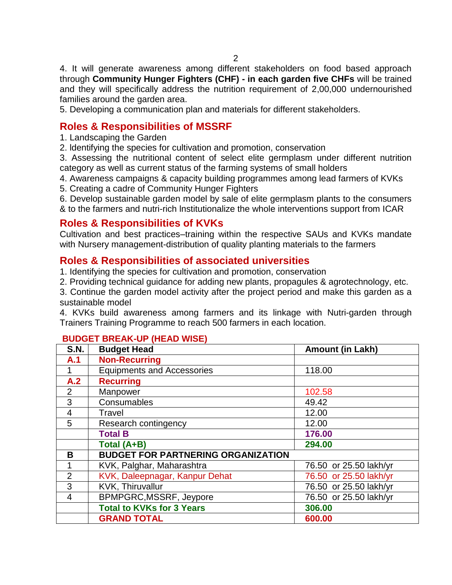4. It will generate awareness among different stakeholders on food based approach through **Community Hunger Fighters (CHF) - in each garden five CHFs** will be trained and they will specifically address the nutrition requirement of 2,00,000 undernourished families around the garden area.

5. Developing a communication plan and materials for different stakeholders.

### **Roles & Responsibilities of MSSRF**

1. Landscaping the Garden

2. ldentifying the species for cultivation and promotion, conservation

3. Assessing the nutritional content of select elite germplasm under different nutrition category as well as current status of the farming systems of small holders

4. Awareness campaigns & capacity building programmes among lead farmers of KVKs

5. Creating a cadre of Community Hunger Fighters

6. Develop sustainable garden model by sale of elite germplasm plants to the consumers & to the farmers and nutri-rich lnstitutionalize the whole interventions support from ICAR

#### **Roles & Responsibilities of KVKs**

Cultivation and best practices–training within the respective SAUs and KVKs mandate with Nursery management-distribution of quality planting materials to the farmers

#### **Roles & Responsibilities of associated universities**

1. Identifying the species for cultivation and promotion, conservation

2. Providing technical guidance for adding new plants, propagules & agrotechnology, etc.

3. Continue the garden model activity after the project period and make this garden as a sustainable model

4. KVKs build awareness among farmers and its linkage with Nutri-garden through Trainers Training Programme to reach 500 farmers in each location.

| <b>S.N.</b>    | <b>Budget Head</b>                        | Amount (in Lakh)       |
|----------------|-------------------------------------------|------------------------|
| A.1            | <b>Non-Recurring</b>                      |                        |
|                | <b>Equipments and Accessories</b>         | 118.00                 |
| A.2            | <b>Recurring</b>                          |                        |
| $\overline{2}$ | Manpower                                  | 102.58                 |
| 3              | Consumables                               | 49.42                  |
| $\overline{4}$ | Travel                                    | 12.00                  |
| 5              | Research contingency                      | 12.00                  |
|                | <b>Total B</b>                            | 176.00                 |
|                | Total (A+B)                               | 294.00                 |
| B              | <b>BUDGET FOR PARTNERING ORGANIZATION</b> |                        |
| 1              | KVK, Palghar, Maharashtra                 | 76.50 or 25.50 lakh/yr |
| $\overline{2}$ | KVK, Daleepnagar, Kanpur Dehat            | 76.50 or 25.50 lakh/yr |
| 3              | KVK, Thiruvallur                          | 76.50 or 25.50 lakh/yr |
| 4              | BPMPGRC, MSSRF, Jeypore                   | 76.50 or 25.50 lakh/yr |
|                | <b>Total to KVKs for 3 Years</b>          | 306.00                 |
|                | <b>GRAND TOTAL</b>                        | 600.00                 |

#### **BUDGET BREAK-UP (HEAD WISE)**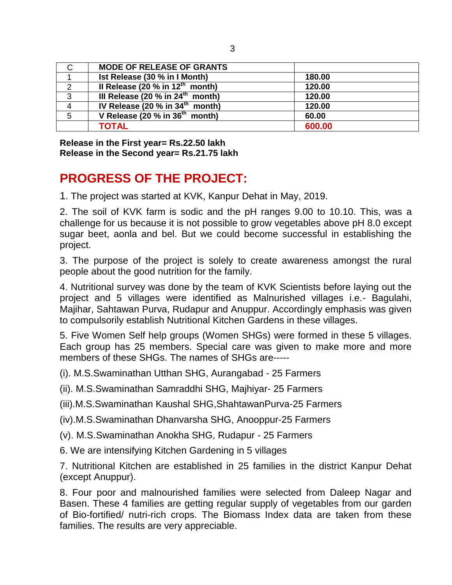| C              | <b>MODE OF RELEASE OF GRANTS</b>               |        |  |
|----------------|------------------------------------------------|--------|--|
|                | Ist Release (30 % in I Month)                  | 180.00 |  |
| 2              | Il Release (20 $\%$ in 12 <sup>th</sup> month) | 120.00 |  |
| 3              | III Release (20 % in $24th$ month)             | 120.00 |  |
| $\overline{4}$ | IV Release (20 $%$ in 34 <sup>th</sup> month)  | 120.00 |  |
| 5              | V Release (20 % in 36 <sup>th</sup> month)     | 60.00  |  |
|                | <b>TOTAL</b>                                   | 600.00 |  |

**Release in the First year= Rs.22.50 lakh Release in the Second year= Rs.21.75 lakh**

# **PROGRESS OF THE PROJECT:**

1. The project was started at KVK, Kanpur Dehat in May, 2019.

2. The soil of KVK farm is sodic and the pH ranges 9.00 to 10.10. This, was a challenge for us because it is not possible to grow vegetables above pH 8.0 except sugar beet, aonla and bel. But we could become successful in establishing the project.

3. The purpose of the project is solely to create awareness amongst the rural people about the good nutrition for the family.

4. Nutritional survey was done by the team of KVK Scientists before laying out the project and 5 villages were identified as Malnurished villages i.e.- Bagulahi, Majihar, Sahtawan Purva, Rudapur and Anuppur. Accordingly emphasis was given to compulsorily establish Nutritional Kitchen Gardens in these villages.

5. Five Women Self help groups (Women SHGs) were formed in these 5 villages. Each group has 25 members. Special care was given to make more and more members of these SHGs. The names of SHGs are-----

(i). M.S.Swaminathan Utthan SHG, Aurangabad - 25 Farmers

(ii). M.S.Swaminathan Samraddhi SHG, Majhiyar- 25 Farmers

(iii).M.S.Swaminathan Kaushal SHG,ShahtawanPurva-25 Farmers

(iv).M.S.Swaminathan Dhanvarsha SHG, Anooppur-25 Farmers

(v). M.S.Swaminathan Anokha SHG, Rudapur - 25 Farmers

6. We are intensifying Kitchen Gardening in 5 villages

7. Nutritional Kitchen are established in 25 families in the district Kanpur Dehat (except Anuppur).

8. Four poor and malnourished families were selected from Daleep Nagar and Basen. These 4 families are getting regular supply of vegetables from our garden of Bio-fortified/ nutri-rich crops. The Biomass Index data are taken from these families. The results are very appreciable.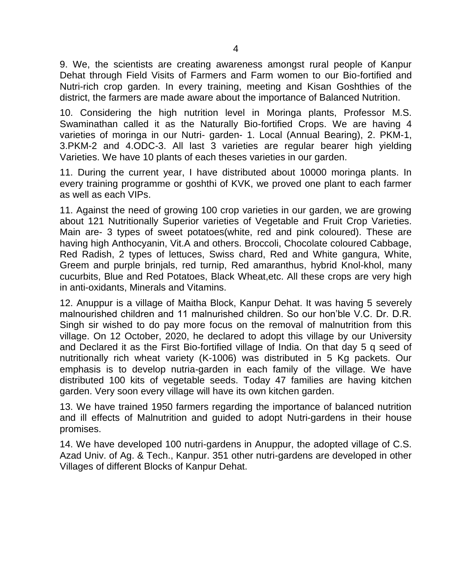9. We, the scientists are creating awareness amongst rural people of Kanpur Dehat through Field Visits of Farmers and Farm women to our Bio-fortified and Nutri-rich crop garden. In every training, meeting and Kisan Goshthies of the district, the farmers are made aware about the importance of Balanced Nutrition.

10. Considering the high nutrition level in Moringa plants, Professor M.S. Swaminathan called it as the Naturally Bio-fortified Crops. We are having 4 varieties of moringa in our Nutri- garden- 1. Local (Annual Bearing), 2. PKM-1, 3.PKM-2 and 4.ODC-3. All last 3 varieties are regular bearer high yielding Varieties. We have 10 plants of each theses varieties in our garden.

11. During the current year, I have distributed about 10000 moringa plants. In every training programme or goshthi of KVK, we proved one plant to each farmer as well as each VIPs.

11. Against the need of growing 100 crop varieties in our garden, we are growing about 121 Nutritionally Superior varieties of Vegetable and Fruit Crop Varieties. Main are- 3 types of sweet potatoes(white, red and pink coloured). These are having high Anthocyanin, Vit.A and others. Broccoli, Chocolate coloured Cabbage, Red Radish, 2 types of lettuces, Swiss chard, Red and White gangura, White, Greem and purple brinjals, red turnip, Red amaranthus, hybrid Knol-khol, many cucurbits, Blue and Red Potatoes, Black Wheat,etc. All these crops are very high in anti-oxidants, Minerals and Vitamins.

12. Anuppur is a village of Maitha Block, Kanpur Dehat. It was having 5 severely malnourished children and 11 malnurished children. So our hon'ble V.C. Dr. D.R. Singh sir wished to do pay more focus on the removal of malnutrition from this village. On 12 October, 2020, he declared to adopt this village by our University and Declared it as the First Bio-fortified village of India. On that day 5 q seed of nutritionally rich wheat variety (K-1006) was distributed in 5 Kg packets. Our emphasis is to develop nutria-garden in each family of the village. We have distributed 100 kits of vegetable seeds. Today 47 families are having kitchen garden. Very soon every village will have its own kitchen garden.

13. We have trained 1950 farmers regarding the importance of balanced nutrition and ill effects of Malnutrition and guided to adopt Nutri-gardens in their house promises.

14. We have developed 100 nutri-gardens in Anuppur, the adopted village of C.S. Azad Univ. of Ag. & Tech., Kanpur. 351 other nutri-gardens are developed in other Villages of different Blocks of Kanpur Dehat.